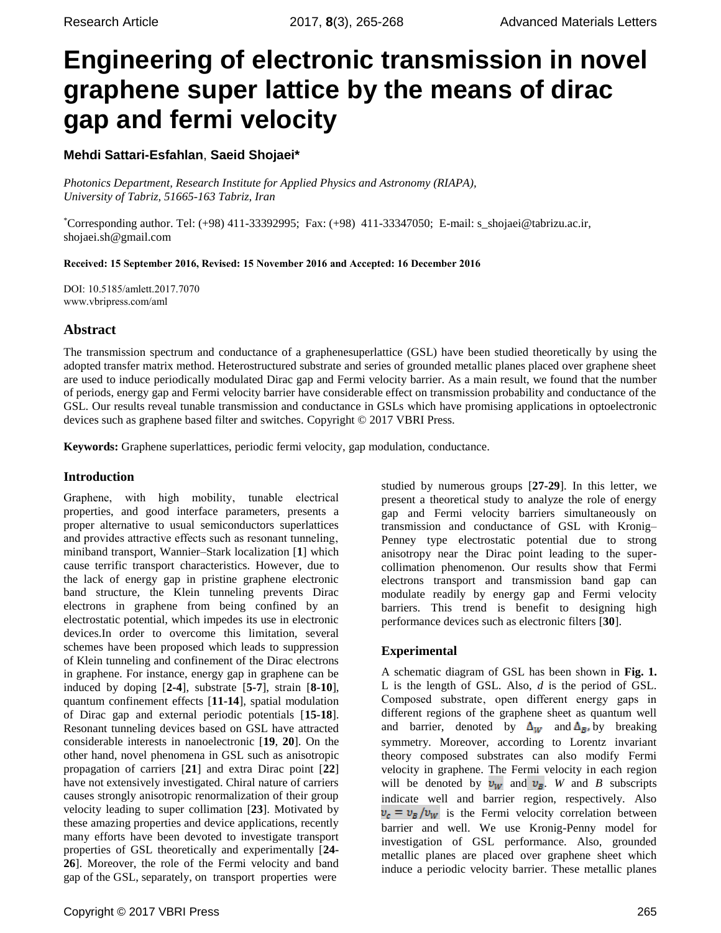# **Engineering of electronic transmission in novel graphene super lattice by the means of dirac gap and fermi velocity**

## **Mehdi Sattari-Esfahlan**, **Saeid Shojaei\***

*Photonics Department, Research Institute for Applied Physics and Astronomy (RIAPA), University of Tabriz, 51665-163 Tabriz, Iran*

\*Corresponding author. Tel: (+98) 411-33392995; Fax: (+98) 411-33347050; E-mail: [s\\_shojaei@tabrizu.ac.ir,](mailto:s_shojaei@tabrizu.ac.ir) [shojaei.sh@gmail.com](mailto:shojaei.sh@gmail.com)

Received: 15 September 2016, Revised: 15 November 2016 and Accepted: 16 December 2016

DOI: 10.5185/amlett.2017.7070 www.vbripress.com/aml

## **Abstract**

The transmission spectrum and conductance of a graphenesuperlattice (GSL) have been studied theoretically by using the adopted transfer matrix method. Heterostructured substrate and series of grounded metallic planes placed over graphene sheet are used to induce periodically modulated Dirac gap and Fermi velocity barrier. As a main result, we found that the number of periods, energy gap and Fermi velocity barrier have considerable effect on transmission probability and conductance of the GSL. Our results reveal tunable transmission and conductance in GSLs which have promising applications in optoelectronic devices such as graphene based filter and switches. Copyright © 2017 VBRI Press.

**Keywords:** Graphene superlattices, periodic fermi velocity, gap modulation, conductance.

### **Introduction**

Graphene, with high mobility, tunable electrical properties, and good interface parameters, presents a proper alternative to usual semiconductors superlattices and provides attractive effects such as resonant tunneling, miniband transport, Wannier–Stark localization [**1**] which cause terrific transport characteristics. However, due to the lack of energy gap in pristine graphene electronic band structure, the Klein tunneling prevents Dirac electrons in graphene from being confined by an electrostatic potential, which impedes its use in electronic devices.In order to overcome this limitation, several schemes have been proposed which leads to suppression of Klein tunneling and confinement of the Dirac electrons in graphene. For instance, energy gap in graphene can be induced by doping [**2-4**], substrate [**5-7**], strain [**8-10**], quantum confinement effects [**11-14**], spatial modulation of Dirac gap and external periodic potentials [**15-18**]. Resonant tunneling devices based on GSL have attracted considerable interests in nanoelectronic [**19**, **20**]. On the other hand, novel phenomena in GSL such as anisotropic propagation of carriers [**21**] and extra Dirac point [**22**] have not extensively investigated. Chiral nature of carriers causes strongly anisotropic renormalization of their group velocity leading to super collimation [**23**]. Motivated by these amazing properties and device applications, recently many efforts have been devoted to investigate transport properties of GSL theoretically and experimentally [**24- 26**]. Moreover, the role of the Fermi velocity and band gap of the GSL, separately, on transport properties were

studied by numerous groups [**27-29**]. In this letter, we present a theoretical study to analyze the role of energy gap and Fermi velocity barriers simultaneously on transmission and conductance of GSL with Kronig– Penney type electrostatic potential due to strong anisotropy near the Dirac point leading to the supercollimation phenomenon. Our results show that Fermi electrons transport and transmission band gap can modulate readily by energy gap and Fermi velocity barriers. This trend is benefit to designing high performance devices such as electronic filters [**30**].

## **Experimental**

A schematic diagram of GSL has been shown in **Fig. 1.** L is the length of GSL. Also, *d* is the period of GSL. Composed substrate, open different energy gaps in different regions of the graphene sheet as quantum well and barrier, denoted by  $\Delta_W$  and  $\Delta_B$ , by breaking symmetry. Moreover, according to Lorentz invariant theory composed substrates can also modify Fermi velocity in graphene. The Fermi velocity in each region will be denoted by  $v_W$  and  $v_B$ . *W* and *B* subscripts indicate well and barrier region, respectively. Also  $v_c = v_B/v_W$  is the Fermi velocity correlation between barrier and well. We use Kronig-Penny model for investigation of GSL performance. Also, grounded metallic planes are placed over graphene sheet which induce a periodic velocity barrier. These metallic planes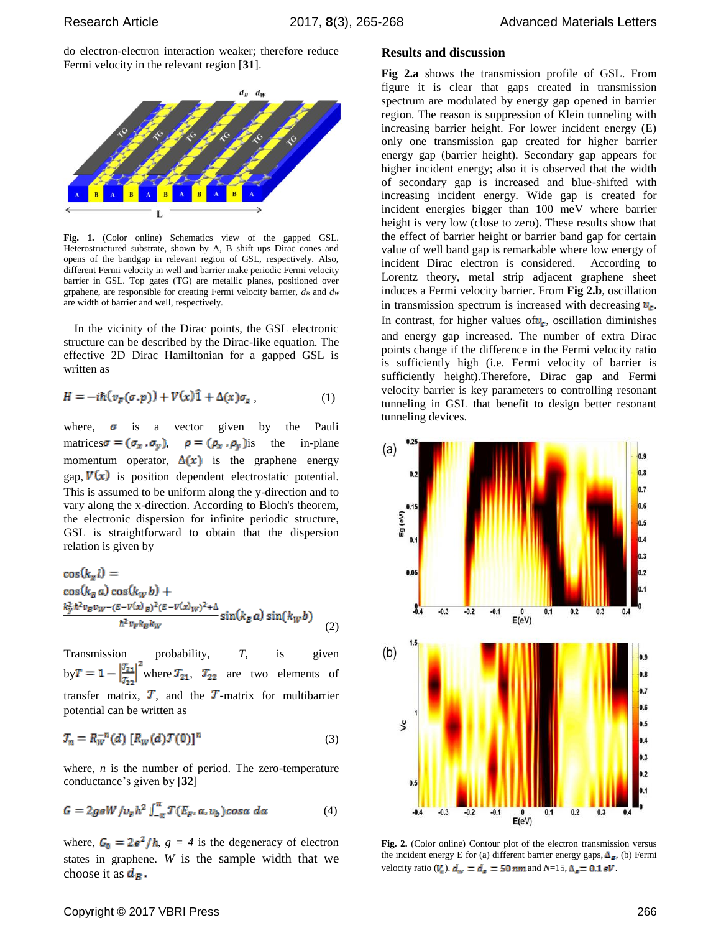do electron-electron interaction weaker; therefore reduce Fermi velocity in the relevant region [**31**].



**Fig. 1.** (Color online) Schematics view of the gapped GSL. Heterostructured substrate, shown by A, B shift ups Dirac cones and opens of the bandgap in relevant region of GSL, respectively. Also, different Fermi velocity in well and barrier make periodic Fermi velocity barrier in GSL. Top gates (TG) are metallic planes, positioned over grpahene, are responsible for creating Fermi velocity barrier, *d<sup>B</sup>* and *d<sup>W</sup>* are width of barrier and well, respectively.

In the vicinity of the Dirac points, the GSL electronic structure can be described by the Dirac-like equation. The effective 2D Dirac Hamiltonian for a gapped GSL is written as

$$
H = -i\hbar(v_F(\sigma, p)) + V(x)\hat{1} + \Delta(x)\sigma_z \tag{1}
$$

where,  $\sigma$  is a vector given by the Pauli matrices  $\sigma = (\sigma_x, \sigma_y)$   $\rho = (\rho_x, \rho_y)$  is the in-plane momentum operator,  $\Delta(x)$  is the graphene energy gap,  $V(x)$  is position dependent electrostatic potential. This is assumed to be uniform along the y-direction and to vary along the x-direction. According to Bloch's theorem, the electronic dispersion for infinite periodic structure, GSL is straightforward to obtain that the dispersion relation is given by

$$
\cos(k_x l) =\n\cos(k_B a) \cos(k_W b) +\n\frac{k_2^2 \hbar^2 v_B v_W - (E - V(x)B)^2 (E - V(x)W)^2 + \Delta}{\hbar^2 v_F k_B k_W} \sin(k_B a) \sin(k_W b)\n\tag{2}
$$

Transmission probability,  $T<sub>1</sub>$  is given  $by T = 1 - \frac{21}{T}$  where  $T_{21}$ ,  $T_{22}$  are two elements of transfer matrix,  $\mathbf{T}$ , and the  $\mathbf{T}$ -matrix for multibarrier potential can be written as

$$
T_n = R_W^{-n}(d) [R_W(d) \mathcal{T}(0)]^n
$$
 (3)

where, *n* is the number of period. The zero-temperature conductance's given by [**32**]

$$
G = 2g e W / v_F h^2 \int_{-\pi}^{\pi} \mathcal{T}(E_F, \alpha, v_b) \cos \alpha \, d\alpha \tag{4}
$$

where,  $G_0 = 2e^2/h$ ,  $g = 4$  is the degeneracy of electron states in graphene. *W* is the sample width that we choose it as  $d_B$ .

#### **Results and discussion**

**Fig 2.a** shows the transmission profile of GSL. From figure it is clear that gaps created in transmission spectrum are modulated by energy gap opened in barrier region. The reason is suppression of Klein tunneling with increasing barrier height. For lower incident energy (E) only one transmission gap created for higher barrier energy gap (barrier height). Secondary gap appears for higher incident energy; also it is observed that the width of secondary gap is increased and blue-shifted with increasing incident energy. Wide gap is created for incident energies bigger than 100 meV where barrier height is very low (close to zero). These results show that the effect of barrier height or barrier band gap for certain value of well band gap is remarkable where low energy of incident Dirac electron is considered. According to Lorentz theory, metal strip adjacent graphene sheet induces a Fermi velocity barrier. From **Fig 2.b**, oscillation in transmission spectrum is increased with decreasing  $v_c$ . In contrast, for higher values of  $v_c$ , oscillation diminishes and energy gap increased. The number of extra Dirac points change if the difference in the Fermi velocity ratio is sufficiently high (i.e. Fermi velocity of barrier is sufficiently height).Therefore, Dirac gap and Fermi velocity barrier is key parameters to controlling resonant tunneling in GSL that benefit to design better resonant tunneling devices.



**Fig. 2.** (Color online) Contour plot of the electron transmission versus the incident energy E for (a) different barrier energy gaps,  $\Delta_{\mathbb{F}}$ , (b) Fermi velocity ratio ( $V_{\rm c}$ ).  $d_w = d_{\rm m} = 50$  nm and  $N=15$ ,  $\Delta_{\rm m} = 0.1$  eV.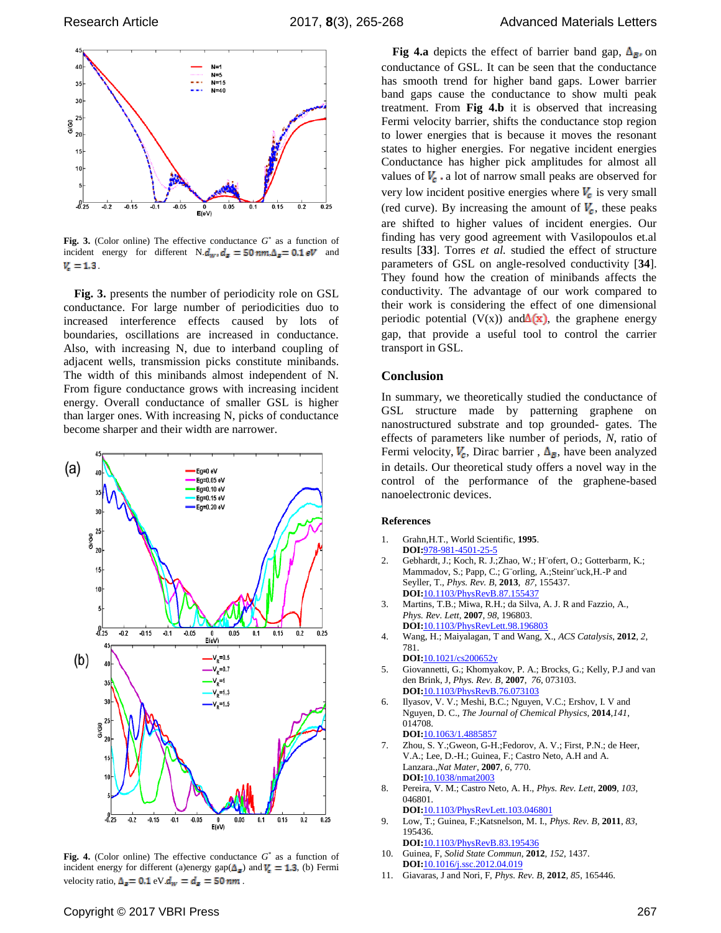



**Fig. 3.** (Color online) The effective conductance  $G^*$  as a function of incident energy for different  $N.d_w$ ,  $d_{\mathbf{r}} = 50$  nm,  $\Delta_{\mathbf{r}} = 0.1$  eV and  $V_{\rm c} = 1.3$ 

**Fig. 3.** presents the number of periodicity role on GSL conductance. For large number of periodicities duo to increased interference effects caused by lots of boundaries, oscillations are increased in conductance. Also, with increasing N, due to interband coupling of adjacent wells, transmission picks constitute minibands. The width of this minibands almost independent of N. From figure conductance grows with increasing incident energy. Overall conductance of smaller GSL is higher than larger ones. With increasing N, picks of conductance become sharper and their width are narrower.



Fig. 4. (Color online) The effective conductance  $G^*$  as a function of incident energy for different (a)energy gap( $\Delta_{\vec{r}}$ ) and  $V_{\vec{r}} = 1.3$ , (b) Fermi velocity ratio,  $\Delta_{\mathbf{z}} = 0.1$  eV.  $d_{\mathbf{w}} = d_{\mathbf{z}} = 50$  nm.

**Fig 4.a** depicts the effect of barrier band gap,  $\Delta_{\mathbf{B}}$  on conductance of GSL. It can be seen that the conductance has smooth trend for higher band gaps. Lower barrier band gaps cause the conductance to show multi peak treatment. From **Fig 4.b** it is observed that increasing Fermi velocity barrier, shifts the conductance stop region to lower energies that is because it moves the resonant states to higher energies. For negative incident energies Conductance has higher pick amplitudes for almost all values of  $V_c$  a lot of narrow small peaks are observed for very low incident positive energies where  $V_c$  is very small (red curve). By increasing the amount of  $V_c$ , these peaks are shifted to higher values of incident energies. Our finding has very good agreement with Vasilopoulos et.al results [**33**]. Torres *et al.* studied the effect of structure parameters of GSL on angle-resolved conductivity [**34**]. They found how the creation of minibands affects the conductivity. The advantage of our work compared to their work is considering the effect of one dimensional periodic potential (V(x)) and  $\Delta(x)$ , the graphene energy gap, that provide a useful tool to control the carrier transport in GSL.

#### **Conclusion**

In summary, we theoretically studied the conductance of GSL structure made by patterning graphene on nanostructured substrate and top grounded- gates. The effects of parameters like number of periods, *N*, ratio of Fermi velocity,  $V_c$ , Dirac barrier,  $\Delta_{\vec{B}}$ , have been analyzed in details. Our theoretical study offers a novel way in the control of the performance of the graphene-based nanoelectronic devices.

#### **References**

- 1. Grahn,H.T., World Scientific, **1995**. **DOI:**978-981-4501-25-5
- 2. Gebhardt, J.; Koch, R. J.;Zhao, W.; H¨ofert, O.; Gotterbarm, K.; Mammadov, S.; Papp, C.; G¨orling, A.;Steinr¨uck,H.-P and Seyller, T., *Phys. Rev. B*, **2013**, *87*, 155437. **DOI:**10.1103/PhysRevB.87.155437
- 3. Martins, T.B.; Miwa, R.H.; da Silva, A. J. R and Fazzio, A., *Phys. Rev. Lett*, **2007**, *98*, 196803. **DOI:**10.1103/PhysRevLett.98.196803
- 4. Wang, H.; Maiyalagan, T and Wang, X., *ACS Catalysis*, **2012**, *2*, 781.
- **DOI:**10.1021/cs200652y
- 5. Giovannetti, G.; Khomyakov, P. A.; Brocks, G.; Kelly, P.J and van den Brink, J, *Phys. Rev. B*, **2007**, *76*, 073103. **DOI:**10.1103/PhysRevB.76.073103
- 6. Ilyasov, V. V.; Meshi, B.C.; Nguyen, V.C.; Ershov, I. V and Nguyen, D. C., *The Journal of Chemical Physics*, **2014**,*141*, 014708. **DOI:**[10.1063/1.4885857](http://dx.doi.org/10.1063/1.4885857)
- 7. Zhou, S. Y.;Gweon, G-H.;Fedorov, A. V.; First, P.N.; de Heer, V.A.; Lee, D.-H.; Guinea, F.; Castro Neto, A.H and A. Lanzara.,*Nat Mater*, **2007**, *6*, 770. **DOI:**10.1038/nmat2003
- 8. Pereira, V. M.; Castro Neto, A. H., *Phys. Rev. Lett*, **2009**, *103*, 046801.
	- **DOI:**10.1103/PhysRevLett.103.046801
- 9. Low, T.; Guinea, F.;Katsnelson, M. I., *Phys. Rev. B*, **2011**, *83*, 195436. **DOI:**10.1103/PhysRevB.83.195436
- 10. Guinea, F, *Solid State Commun*, **2012**, *152*, 1437. **DOI:**[10.1016/j.ssc.2012.04.019](http://dx.doi.org/10.1016/j.ssc.2012.04.019)
- 11. Giavaras, J and Nori, F, *Phys. Rev. B*, **2012**, *85*, 165446.